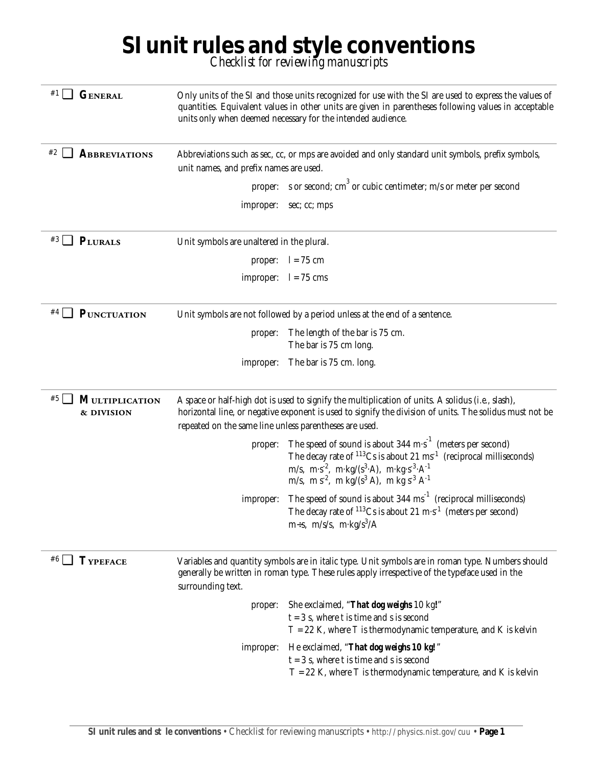## **SI unit rules and style conventions** *Checklist for reviewing manuscripts*

| ⊔<br><b>GENERAL</b>                              | Only units of the SI and those units recognized for use with the SI are used to express the values of<br>quantities. Equivalent values in other units are given in parentheses following values in acceptable<br>units only when deemed necessary for the intended audience. |                                                                                                                                                                                                                                                                                                                                                               |  |
|--------------------------------------------------|------------------------------------------------------------------------------------------------------------------------------------------------------------------------------------------------------------------------------------------------------------------------------|---------------------------------------------------------------------------------------------------------------------------------------------------------------------------------------------------------------------------------------------------------------------------------------------------------------------------------------------------------------|--|
| #2 ⊿<br><b>ABBREVIATIONS</b>                     | unit names, and prefix names are used.                                                                                                                                                                                                                                       | Abbreviations such as sec, cc, or mps are avoided and only standard unit symbols, prefix symbols,                                                                                                                                                                                                                                                             |  |
|                                                  |                                                                                                                                                                                                                                                                              | proper: s or second; $cm3$ or cubic centimeter; $m/s$ or meter per second                                                                                                                                                                                                                                                                                     |  |
|                                                  | improper:                                                                                                                                                                                                                                                                    | sec; cc; mps                                                                                                                                                                                                                                                                                                                                                  |  |
| $^{*3}$ PLURALS                                  | Unit symbols are unaltered in the plural.                                                                                                                                                                                                                                    |                                                                                                                                                                                                                                                                                                                                                               |  |
|                                                  |                                                                                                                                                                                                                                                                              | proper: $l = 75$ cm                                                                                                                                                                                                                                                                                                                                           |  |
|                                                  |                                                                                                                                                                                                                                                                              | improper: $l = 75$ cms                                                                                                                                                                                                                                                                                                                                        |  |
| $#4$ $\Box$<br><b>PUNCTUATION</b>                | Unit symbols are not followed by a period unless at the end of a sentence.                                                                                                                                                                                                   |                                                                                                                                                                                                                                                                                                                                                               |  |
|                                                  | proper:                                                                                                                                                                                                                                                                      | The length of the bar is 75 cm.<br>The bar is 75 cm long.                                                                                                                                                                                                                                                                                                     |  |
|                                                  | improper:                                                                                                                                                                                                                                                                    | The bar is 75 cm. long.                                                                                                                                                                                                                                                                                                                                       |  |
| #5 $\Box$<br><b>MULTIPLICATION</b><br>& DIVISION | A space or half-high dot is used to signify the multiplication of units. A solidus (i.e., slash),<br>horizontal line, or negative exponent is used to signify the division of units. The solidus must not be<br>repeated on the same line unless parentheses are used.       |                                                                                                                                                                                                                                                                                                                                                               |  |
|                                                  | proper:                                                                                                                                                                                                                                                                      | The speed of sound is about $344 \text{ m} \cdot \text{s}^{-1}$ (meters per second)<br>The decay rate of $113Cs$ is about 21 ms <sup>-1</sup> (reciprocal milliseconds)<br>m/s, m·s <sup>-2</sup> , m·kg/(s <sup>3</sup> ·A), m·kg·s <sup>-3</sup> ·A <sup>-1</sup><br>m/s, m s <sup>-2</sup> , m kg/(s <sup>3</sup> A), m kg s <sup>-3</sup> A <sup>-1</sup> |  |
|                                                  | improper:                                                                                                                                                                                                                                                                    | The speed of sound is about $344 \text{ ms}^{-1}$ (reciprocal milliseconds)<br>The decay rate of $^{113}Cs$ is about 21 m·s <sup>-1</sup> (meters per second)<br>m÷s, m/s/s, m·kg/s <sup>3</sup> /A                                                                                                                                                           |  |
| #6 □<br><b>TYPEFACE</b>                          | Variables and quantity symbols are in italic type. Unit symbols are in roman type. Numbers should<br>generally be written in roman type. These rules apply irrespective of the typeface used in the<br>surrounding text.                                                     |                                                                                                                                                                                                                                                                                                                                                               |  |
|                                                  | proper:                                                                                                                                                                                                                                                                      | She exclaimed, " <i>That dog weighs</i> 10 kg!"<br>$t = 3$ s, where t is time and s is second<br>$T = 22$ K, where T is thermodynamic temperature, and K is kelvin                                                                                                                                                                                            |  |
|                                                  | improper:                                                                                                                                                                                                                                                                    | He exclaimed, " <i>That dog weighs 10 kg!</i> "<br>$t = 3$ s, where t is time and s is second<br>$T = 22$ K, where T is thermodynamic temperature, and K is kelvin                                                                                                                                                                                            |  |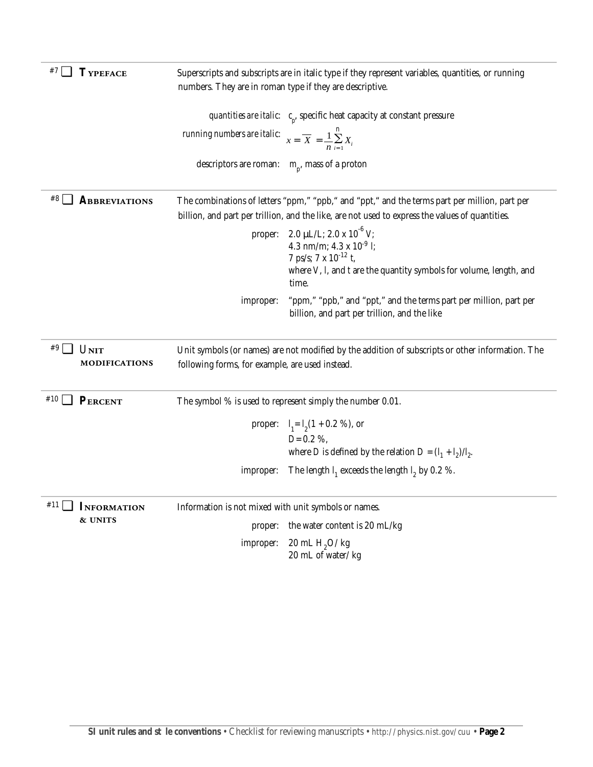| ┚           | <b>TYPEFACE</b>      | Superscripts and subscripts are in italic type if they represent variables, quantities, or running<br>numbers. They are in roman type if they are descriptive.                                   |                                                                                                                          |  |
|-------------|----------------------|--------------------------------------------------------------------------------------------------------------------------------------------------------------------------------------------------|--------------------------------------------------------------------------------------------------------------------------|--|
|             |                      |                                                                                                                                                                                                  | <i>quantities are italic:</i> $c_{n}$ specific heat capacity at constant pressure                                        |  |
|             |                      | <i>running numbers are italic:</i> $x = \overline{X} = \frac{1}{n} \sum_{i=1}^{n} X_i$                                                                                                           |                                                                                                                          |  |
|             |                      | descriptors are roman: $m_p$ , mass of a proton                                                                                                                                                  |                                                                                                                          |  |
| #8 [        | ABBREVIATIONS        | The combinations of letters "ppm," "ppb," and "ppt," and the terms part per million, part per<br>billion, and part per trillion, and the like, are not used to express the values of quantities. |                                                                                                                          |  |
|             |                      | proper:                                                                                                                                                                                          | 2.0 µL/L; 2.0 x $10^{-6}$ V;<br>4.3 nm/m; $4.3 \times 10^{-9}$ <i>l</i> ;<br>7 ps/s; 7 x $10^{-12}$ t,                   |  |
|             |                      |                                                                                                                                                                                                  | where $V$ , $I$ , and $t$ are the quantity symbols for volume, length, and<br>time.                                      |  |
|             |                      | improper:                                                                                                                                                                                        | "ppm," "ppb," and "ppt," and the terms part per million, part per<br>billion, and part per trillion, and the like        |  |
|             |                      |                                                                                                                                                                                                  |                                                                                                                          |  |
| $#9$ $\Box$ | <b>UNIT</b>          |                                                                                                                                                                                                  | Unit symbols (or names) are not modified by the addition of subscripts or other information. The                         |  |
|             | <b>MODIFICATIONS</b> | following forms, for example, are used instead.                                                                                                                                                  |                                                                                                                          |  |
| #10         | PERCENT              |                                                                                                                                                                                                  | The symbol $\%$ is used to represent simply the number 0.01.                                                             |  |
|             |                      |                                                                                                                                                                                                  | proper: $I_1 = I_2(1 + 0.2 \%)$ , or                                                                                     |  |
|             |                      |                                                                                                                                                                                                  | $D=0.2\%$                                                                                                                |  |
|             |                      | improper:                                                                                                                                                                                        | where <i>D</i> is defined by the relation $D = (I_1 + I_2)/I_2$ .<br>The length $I_1$ exceeds the length $I_2$ by 0.2 %. |  |
|             |                      |                                                                                                                                                                                                  |                                                                                                                          |  |
| #11         | <b>INFORMATION</b>   | Information is not mixed with unit symbols or names.                                                                                                                                             |                                                                                                                          |  |
|             | & UNITS              | proper:                                                                                                                                                                                          | the water content is 20 mL/kg                                                                                            |  |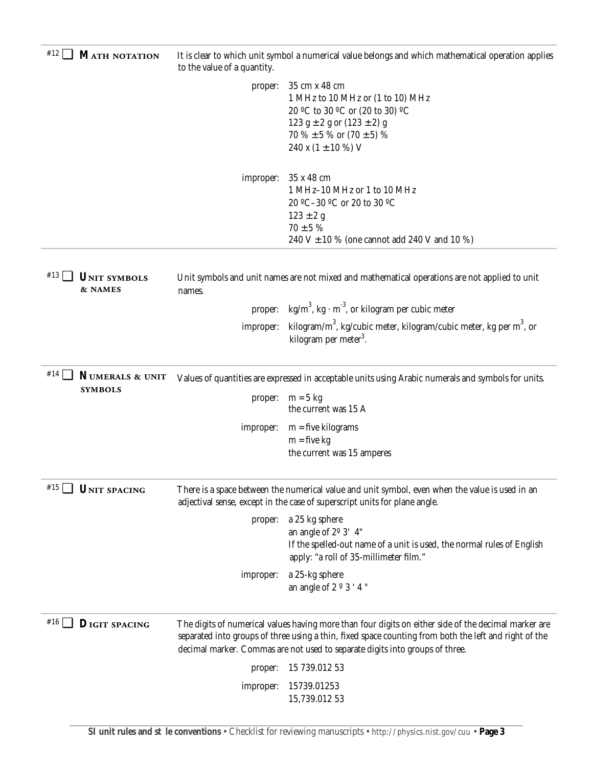| #12 □<br><b>MATH NOTATION</b>               | It is clear to which unit symbol a numerical value belongs and which mathematical operation applies<br>to the value of a quantity.                                            |                                                                                                                                                                                                               |
|---------------------------------------------|-------------------------------------------------------------------------------------------------------------------------------------------------------------------------------|---------------------------------------------------------------------------------------------------------------------------------------------------------------------------------------------------------------|
|                                             |                                                                                                                                                                               | proper: 35 cm x 48 cm<br>1 MHz to 10 MHz or (1 to 10) MHz<br>20 °C to 30 °C or (20 to 30) °C<br>123 g $\pm$ 2 g or (123 $\pm$ 2) g<br>70 % $\pm$ 5 % or (70 $\pm$ 5) %<br>240 x $(1 \pm 10 \%)$ V             |
|                                             | improper:                                                                                                                                                                     | 35 x 48 cm<br>1 MHz-10 MHz or 1 to 10 MHz<br>20 °C-30 °C or 20 to 30 °C<br>$123 \pm 2$ g<br>$70 \pm 5 \%$<br>240 V $\pm$ 10 % (one cannot add 240 V and 10 %)                                                 |
| $#13$    <br><b>UNIT SYMBOLS</b><br>& NAMES | Unit symbols and unit names are not mixed and mathematical operations are not applied to unit<br>names.                                                                       |                                                                                                                                                                                                               |
|                                             |                                                                                                                                                                               | proper: $\text{kg/m}^3$ , kg $\cdot$ m <sup>-3</sup> , or kilogram per cubic meter                                                                                                                            |
|                                             | improper:                                                                                                                                                                     | kilogram/m <sup>3</sup> , kg/cubic meter, kilogram/cubic meter, kg per m <sup>3</sup> , or<br>kilogram per meter <sup>3</sup> .                                                                               |
| #14<br>NUMERALS & UNIT                      | Values of quantities are expressed in acceptable units using Arabic numerals and symbols for units.                                                                           |                                                                                                                                                                                                               |
| <b>SYMBOLS</b>                              | proper:                                                                                                                                                                       | $m = 5$ kg<br>the current was 15 A                                                                                                                                                                            |
|                                             | improper:                                                                                                                                                                     | $m =$ five kilograms<br>$m = five kg$<br>the current was 15 amperes                                                                                                                                           |
| #15 □<br>UNIT SPACING                       | There is a space between the numerical value and unit symbol, even when the value is used in an<br>adjectival sense, except in the case of superscript units for plane angle. |                                                                                                                                                                                                               |
|                                             | proper:                                                                                                                                                                       | a 25 kg sphere<br>an angle of $2^{\circ}$ 3' 4"<br>If the spelled-out name of a unit is used, the normal rules of English<br>apply: "a roll of 35-millimeter film."                                           |
|                                             | improper:                                                                                                                                                                     | a 25-kg sphere<br>an angle of 2 $\degree$ 3 $'4$ "                                                                                                                                                            |
| $#16$  <br><b>DIGIT SPACING</b>             |                                                                                                                                                                               | The digits of numerical values having more than four digits on either side of the decimal marker are<br>separated into groups of three using a thin, fixed space counting from both the left and right of the |
|                                             |                                                                                                                                                                               | decimal marker. Commas are not used to separate digits into groups of three.                                                                                                                                  |
|                                             | proper:                                                                                                                                                                       | 15 739.012 53                                                                                                                                                                                                 |
|                                             | improper:                                                                                                                                                                     | 15739.01253<br>15,739.012 53                                                                                                                                                                                  |